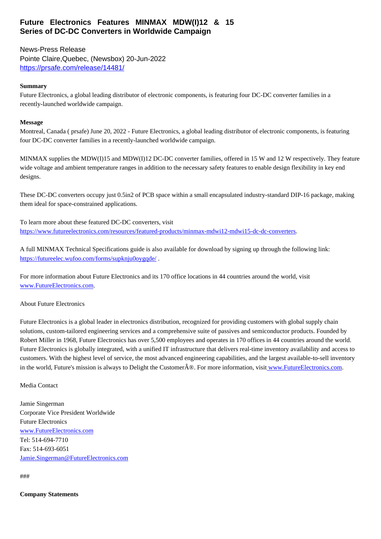#### **Series of DC-DC Converters in Worldwide Campaign**

News-Press Release Pointe Claire,Quebec, (Newsbox) 20-Jun-2022 https://prsafe.com/release/14481/

#### **Summary**

Future Electronics, a global leading distributor of electronic components, is featuring four DC-DC converter families in a [recently-launched worldwide campaign.](https://prsafe.com/release/14481/)

### **Message**

Montreal, Canada ( prsafe) June 20, 2022 - Future Electronics, a global leading distributor of electronic components, is featuring four DC-DC converter families in a recently-launched worldwide campaign.

MINMAX supplies the MDW(I)15 and MDW(I)12 DC-DC converter families, offered in 15 W and 12 W respectively. They feature wide voltage and ambient temperature ranges in addition to the necessary safety features to enable design flexibility in key end designs.

These DC-DC converters occupy just 0.5in2 of PCB space within a small encapsulated industry-standard DIP-16 package, making them ideal for space-constrained applications.

To learn more about these featured DC-DC converters, visit https://www.futureelectronics.com/resources/featured-products/minmax-mdwi12-mdwi15-dc-dc-converters.

A full MINMAX Technical Specifications guide is also available for download by signing up through the following link: [https://futureelec.wufoo.com/forms/supknju0oygqde/ .](https://www.futureelectronics.com/resources/featured-products/minmax-mdwi12-mdwi15-dc-dc-converters)

For more information about Future Electronics and its 170 office locations in 44 countries around the world, visit [www.FutureElectronics.com.](https://futureelec.wufoo.com/forms/supknju0oygqde/)

#### About Future Electronics

[Future Electronics is a global](http://www.futureelectronics.com/) leader in electronics distribution, recognized for providing customers with global supply chain solutions, custom-tailored engineering services and a comprehensive suite of passives and semiconductor products. Founded by Robert Miller in 1968, Future Electronics has over 5,500 employees and operates in 170 offices in 44 countries around the world. Future Electronics is globally integrated, with a unified IT infrastructure that delivers real-time inventory availability and access to customers. With the highest level of service, the most advanced engineering capabilities, and the largest available-to-sell inventory in the world, Future's mission is always to Delight the Customer $\hat{A}\otimes$ . For more information, visit www.FutureElectronics.com.

#### Media Contact

Jamie Singerman Corporate Vice President Worldwide Future Electronics www.FutureElectronics.com Tel: 514-694-7710 Fax: 514-693-6051 [Jamie.Singerman@FutureEle](http://www.futureelectronics.com/)ctronics.com

###

#### **[Company Statements](http://mailto:Jamie.Singerman@FutureElectronics.com)**